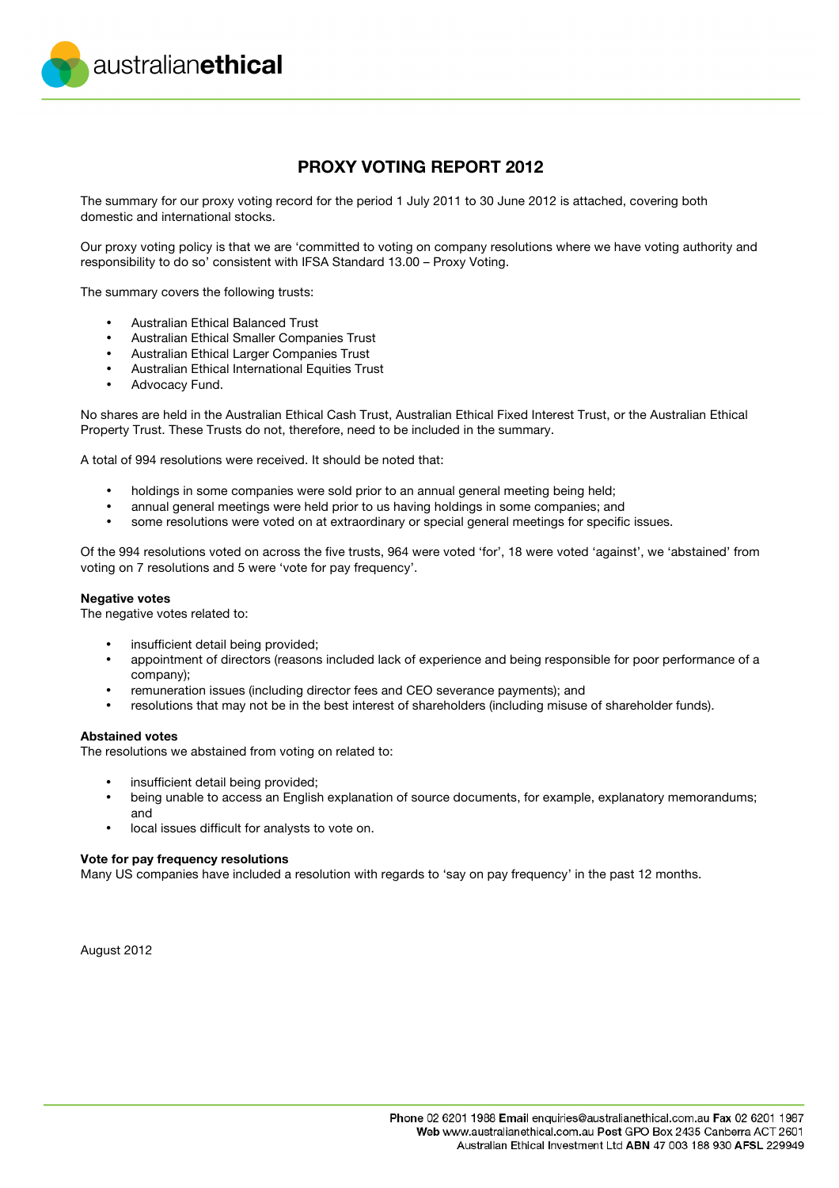australianethical

## **PROXY VOTING REPORT 2012**

The summary for our proxy voting record for the period 1 July 2011 to 30 June 2012 is attached, covering both domestic and international stocks.

Our proxy voting policy is that we are 'committed to voting on company resolutions where we have voting authority and responsibility to do so' consistent with IFSA Standard 13.00 – Proxy Voting.

The summary covers the following trusts:

- Australian Ethical Balanced Trust
- Australian Ethical Smaller Companies Trust
- Australian Ethical Larger Companies Trust
- Australian Ethical International Equities Trust
- Advocacy Fund.

No shares are held in the Australian Ethical Cash Trust, Australian Ethical Fixed Interest Trust, or the Australian Ethical Property Trust. These Trusts do not, therefore, need to be included in the summary.

A total of 994 resolutions were received. It should be noted that:

- holdings in some companies were sold prior to an annual general meeting being held;
- annual general meetings were held prior to us having holdings in some companies; and
- some resolutions were voted on at extraordinary or special general meetings for specific issues.

Of the 994 resolutions voted on across the five trusts, 964 were voted 'for', 18 were voted 'against', we 'abstained' from voting on 7 resolutions and 5 were 'vote for pay frequency'.

#### **Negative votes**

The negative votes related to:

- insufficient detail being provided:
- appointment of directors (reasons included lack of experience and being responsible for poor performance of a company);
- remuneration issues (including director fees and CEO severance payments); and
- resolutions that may not be in the best interest of shareholders (including misuse of shareholder funds).

#### **Abstained votes**

The resolutions we abstained from voting on related to:

- insufficient detail being provided;
- being unable to access an English explanation of source documents, for example, explanatory memorandums; and
- local issues difficult for analysts to vote on.

#### **Vote for pay frequency resolutions**

Many US companies have included a resolution with regards to 'say on pay frequency' in the past 12 months.

August 2012